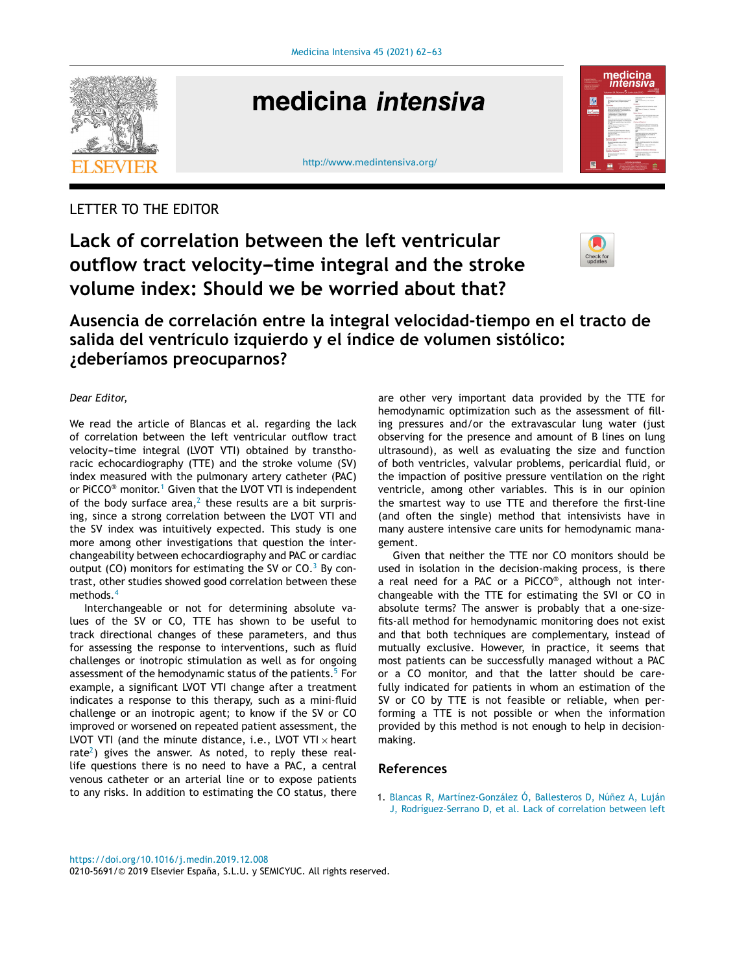

# medicina intensiva



## LETTER TO THE EDITOR

**Lack of correlation between the left ventricular** *outflow tract velocity-time integral and the stroke* **volume index: Should we be worried about that?**



**Ausencia de correlación entre la integral velocidad-tiempo en el tracto de salida del ventrículo izquierdo y el índice de volumen sistólico: ¿deberíamos preocuparnos?**

#### *Dear Editor,*

We read the article of Blancas et al. regarding the lack of correlation between the left ventricular outflow tract velocity-time integral (LVOT VTI) obtained by transthoracic echocardiography (TTE) and the stroke volume (SV) index measured with the pulmonary artery catheter (PAC) or PiCCO<sup>®</sup> monitor.<sup>1</sup> Given that the LVOT VTI is independent of the body surface area, $^2$  $^2$  these results are a bit surprising, since a strong correlation between the LVOT VTI and the SV index was intuitively expected. This study is one more among other investigations that question the interchangeability between echocardiography and PAC or cardiac output (CO) monitors for estimating the SV or  $CO<sup>3</sup>$  $CO<sup>3</sup>$  $CO<sup>3</sup>$  By contrast, other studies showed good correlation between these methods.<sup>[4](#page-1-0)</sup>

Interchangeable or not for determining absolute values of the SV or CO, TTE has shown to be useful to track directional changes of these parameters, and thus for assessing the response to interventions, such as fluid challenges or inotropic stimulation as well as for ongoing assessment of the hemodynamic status of the patients.<sup>5</sup> [F](#page-1-0)or example, a significant LVOT VTI change after a treatment indicates a response to this therapy, such as a mini-fluid challenge or an inotropic agent; to know if the SV or CO improved or worsened on repeated patient assessment, the LVOT VTI (and the minute distance, i.e., LVOT VTI  $\times$  heart rate<sup>2</sup>[\)](#page-1-0) gives the answer. As noted, to reply these reallife questions there is no need to have a PAC, a central venous catheter or an arterial line or to expose patients to any risks. In addition to estimating the CO status, there

are other very important data provided by the TTE for hemodynamic optimization such as the assessment of filling pressures and/or the extravascular lung water (just observing for the presence and amount of B lines on lung ultrasound), as well as evaluating the size and function of both ventricles, valvular problems, pericardial fluid, or the impaction of positive pressure ventilation on the right ventricle, among other variables. This is in our opinion the smartest way to use TTE and therefore the first-line (and often the single) method that intensivists have in many austere intensive care units for hemodynamic management.

Given that neither the TTE nor CO monitors should be used in isolation in the decision-making process, is there a real need for a PAC or a PiCCO® , although not interchangeable with the TTE for estimating the SVI or CO in absolute terms? The answer is probably that a one-sizefits-all method for hemodynamic monitoring does not exist and that both techniques are complementary, instead of mutually exclusive. However, in practice, it seems that most patients can be successfully managed without a PAC or a CO monitor, and that the latter should be carefully indicated for patients in whom an estimation of the SV or CO by TTE is not feasible or reliable, when performing a TTE is not possible or when the information provided by this method is not enough to help in decisionmaking.

### **References**

1. [Blancas](http://refhub.elsevier.com/S0210-5691(19)30307-9/sbref0030) [R,](http://refhub.elsevier.com/S0210-5691(19)30307-9/sbref0030) [Martínez-González](http://refhub.elsevier.com/S0210-5691(19)30307-9/sbref0030) [Ó,](http://refhub.elsevier.com/S0210-5691(19)30307-9/sbref0030) [Ballesteros](http://refhub.elsevier.com/S0210-5691(19)30307-9/sbref0030) [D,](http://refhub.elsevier.com/S0210-5691(19)30307-9/sbref0030) Núñez [A,](http://refhub.elsevier.com/S0210-5691(19)30307-9/sbref0030) [Luján](http://refhub.elsevier.com/S0210-5691(19)30307-9/sbref0030) [J,](http://refhub.elsevier.com/S0210-5691(19)30307-9/sbref0030) [Rodríguez-Serrano](http://refhub.elsevier.com/S0210-5691(19)30307-9/sbref0030) [D,](http://refhub.elsevier.com/S0210-5691(19)30307-9/sbref0030) [et](http://refhub.elsevier.com/S0210-5691(19)30307-9/sbref0030) [al.](http://refhub.elsevier.com/S0210-5691(19)30307-9/sbref0030) [Lack](http://refhub.elsevier.com/S0210-5691(19)30307-9/sbref0030) [of](http://refhub.elsevier.com/S0210-5691(19)30307-9/sbref0030) [correlation](http://refhub.elsevier.com/S0210-5691(19)30307-9/sbref0030) [between](http://refhub.elsevier.com/S0210-5691(19)30307-9/sbref0030) [left](http://refhub.elsevier.com/S0210-5691(19)30307-9/sbref0030)